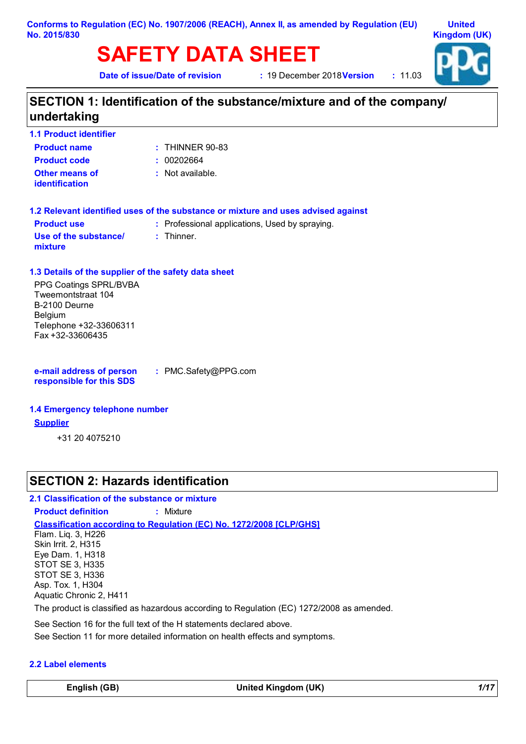# **SAFETY DATA SHEET**

**Date of issue/Date of revision** 

**19 December 2018 Version : 11.03** 



# **SECTION 1: Identification of the substance/mixture and of the company/ undertaking**

| <b>1.1 Product identifier</b>           |                   |
|-----------------------------------------|-------------------|
| <b>Product name</b>                     | $:$ THINNER 90-83 |
| <b>Product code</b>                     | : 00202664        |
| Other means of<br><i>identification</i> | : Not available.  |

| 1.2 Relevant identified uses of the substance or mixture and uses advised against |                                                |  |  |
|-----------------------------------------------------------------------------------|------------------------------------------------|--|--|
| <b>Product use</b>                                                                | : Professional applications, Used by spraying. |  |  |
| Use of the substance/                                                             | : Thinner.                                     |  |  |

### **1.3 Details of the supplier of the safety data sheet**

PPG Coatings SPRL/BVBA Tweemontstraat 104 B-2100 Deurne Belgium Telephone +32-33606311 Fax +32-33606435

**e-mail address of person responsible for this SDS**

**:** PMC.Safety@PPG.com

#### **1.4 Emergency telephone number**

#### **Supplier**

**mixture**

+31 20 4075210

## **SECTION 2: Hazards identification**

#### **2.1 Classification of the substance or mixture**

**Classification according to Regulation (EC) No. 1272/2008 [CLP/GHS] Product definition :** Mixture Flam. Liq. 3, H226 Skin Irrit. 2, H315 Eye Dam. 1, H318 STOT SE 3, H335 STOT SE 3, H336 Asp. Tox. 1, H304 Aquatic Chronic 2, H411

The product is classified as hazardous according to Regulation (EC) 1272/2008 as amended.

See Section 16 for the full text of the H statements declared above.

See Section 11 for more detailed information on health effects and symptoms.

#### **2.2 Label elements**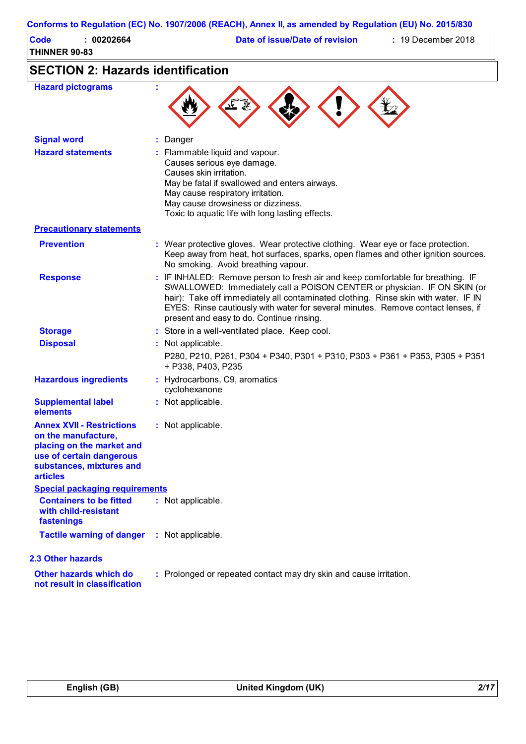|                                                                                                                                                                 | Conforms to Regulation (EC) No. 1907/2006 (REACH), Annex II, as amended by Regulation (EU) No. 2015/830                                                                                                                                                                                                                                                                             |
|-----------------------------------------------------------------------------------------------------------------------------------------------------------------|-------------------------------------------------------------------------------------------------------------------------------------------------------------------------------------------------------------------------------------------------------------------------------------------------------------------------------------------------------------------------------------|
| <b>Code</b><br>: 00202664<br><b>THINNER 90-83</b>                                                                                                               | Date of issue/Date of revision<br>$: 19$ December 2018                                                                                                                                                                                                                                                                                                                              |
| <b>SECTION 2: Hazards identification</b>                                                                                                                        |                                                                                                                                                                                                                                                                                                                                                                                     |
| <b>Hazard pictograms</b>                                                                                                                                        |                                                                                                                                                                                                                                                                                                                                                                                     |
| <b>Signal word</b>                                                                                                                                              | Danger                                                                                                                                                                                                                                                                                                                                                                              |
| <b>Hazard statements</b>                                                                                                                                        | Flammable liquid and vapour.<br>Causes serious eye damage.<br>Causes skin irritation.<br>May be fatal if swallowed and enters airways.<br>May cause respiratory irritation.<br>May cause drowsiness or dizziness.<br>Toxic to aquatic life with long lasting effects.                                                                                                               |
| <b>Precautionary statements</b>                                                                                                                                 |                                                                                                                                                                                                                                                                                                                                                                                     |
| <b>Prevention</b>                                                                                                                                               | : Wear protective gloves. Wear protective clothing. Wear eye or face protection.<br>Keep away from heat, hot surfaces, sparks, open flames and other ignition sources.<br>No smoking. Avoid breathing vapour.                                                                                                                                                                       |
| <b>Response</b>                                                                                                                                                 | : IF INHALED: Remove person to fresh air and keep comfortable for breathing. IF<br>SWALLOWED: Immediately call a POISON CENTER or physician. IF ON SKIN (or<br>hair): Take off immediately all contaminated clothing. Rinse skin with water. IF IN<br>EYES: Rinse cautiously with water for several minutes. Remove contact lenses, if<br>present and easy to do. Continue rinsing. |
| <b>Storage</b>                                                                                                                                                  | : Store in a well-ventilated place. Keep cool.                                                                                                                                                                                                                                                                                                                                      |
| <b>Disposal</b>                                                                                                                                                 | : Not applicable.                                                                                                                                                                                                                                                                                                                                                                   |
|                                                                                                                                                                 | P280, P210, P261, P304 + P340, P301 + P310, P303 + P361 + P353, P305 + P351<br>+ P338, P403, P235                                                                                                                                                                                                                                                                                   |
| <b>Hazardous ingredients</b>                                                                                                                                    | : Hydrocarbons, C9, aromatics<br>cyclohexanone                                                                                                                                                                                                                                                                                                                                      |
| <b>Supplemental label</b><br>elements                                                                                                                           | : Not applicable.                                                                                                                                                                                                                                                                                                                                                                   |
| <b>Annex XVII - Restrictions</b><br>on the manufacture,<br>placing on the market and<br>use of certain dangerous<br>substances, mixtures and<br><b>articles</b> | : Not applicable.                                                                                                                                                                                                                                                                                                                                                                   |
| <b>Special packaging requirements</b>                                                                                                                           |                                                                                                                                                                                                                                                                                                                                                                                     |
| <b>Containers to be fitted</b><br>with child-resistant<br>fastenings                                                                                            | : Not applicable.                                                                                                                                                                                                                                                                                                                                                                   |
| <b>Tactile warning of danger</b>                                                                                                                                | : Not applicable.                                                                                                                                                                                                                                                                                                                                                                   |
| 2.3 Other hazards                                                                                                                                               |                                                                                                                                                                                                                                                                                                                                                                                     |
| Other hazards which do<br>not result in classification                                                                                                          | : Prolonged or repeated contact may dry skin and cause irritation.                                                                                                                                                                                                                                                                                                                  |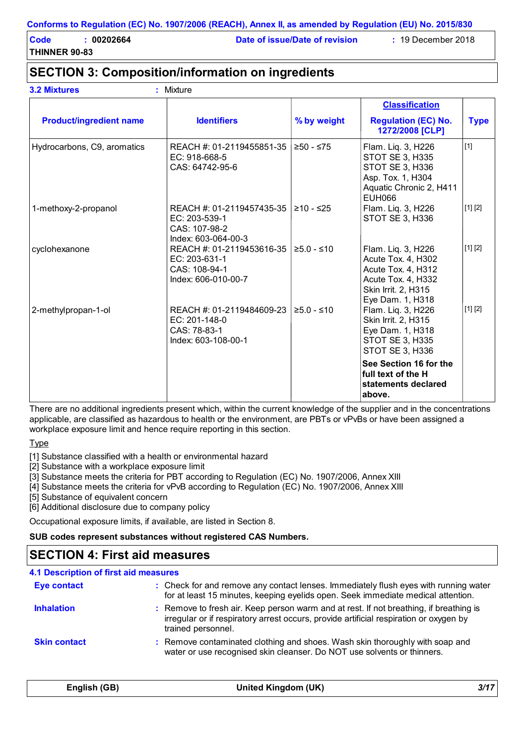**THINNER 90-83**

**3.2 Mixtures :** Mixture

**Code : 00202664 Date of issue/Date of revision :** 19 December 2018

# **SECTION 3: Composition/information on ingredients**

|                                |                                                                                    |              | <b>Classification</b>                                                                                                            |             |
|--------------------------------|------------------------------------------------------------------------------------|--------------|----------------------------------------------------------------------------------------------------------------------------------|-------------|
| <b>Product/ingredient name</b> | <b>Identifiers</b>                                                                 | % by weight  | <b>Regulation (EC) No.</b><br>1272/2008 [CLP]                                                                                    | <b>Type</b> |
| Hydrocarbons, C9, aromatics    | REACH #: 01-2119455851-35<br>EC: 918-668-5<br>CAS: 64742-95-6                      | ≥50 - ≤75    | Flam. Liq. 3, H226<br><b>STOT SE 3, H335</b><br>STOT SE 3, H336<br>Asp. Tox. 1, H304<br>Aquatic Chronic 2, H411<br><b>EUH066</b> | $[1]$       |
| 1-methoxy-2-propanol           | REACH #: 01-2119457435-35<br>EC: 203-539-1<br>CAS: 107-98-2<br>Index: 603-064-00-3 | ≥10 - ≤25    | Flam. Liq. 3, H226<br><b>STOT SE 3, H336</b>                                                                                     | [1] [2]     |
| cyclohexanone                  | REACH #: 01-2119453616-35<br>EC: 203-631-1<br>CAS: 108-94-1<br>Index: 606-010-00-7 | $≥5.0 - ≤10$ | Flam. Liq. 3, H226<br>Acute Tox. 4, H302<br>Acute Tox. 4, H312<br>Acute Tox. 4, H332<br>Skin Irrit. 2, H315<br>Eye Dam. 1, H318  | [1] [2]     |
| 2-methylpropan-1-ol            | REACH #: 01-2119484609-23<br>EC: 201-148-0<br>CAS: 78-83-1<br>Index: 603-108-00-1  | $≥5.0 - ≤10$ | Flam. Liq. 3, H226<br>Skin Irrit. 2, H315<br>Eye Dam. 1, H318<br><b>STOT SE 3, H335</b><br>STOT SE 3, H336                       | [1] [2]     |
|                                |                                                                                    |              | See Section 16 for the<br>full text of the H<br>statements declared<br>above.                                                    |             |

There are no additional ingredients present which, within the current knowledge of the supplier and in the concentrations applicable, are classified as hazardous to health or the environment, are PBTs or vPvBs or have been assigned a workplace exposure limit and hence require reporting in this section.

Type

[1] Substance classified with a health or environmental hazard

[2] Substance with a workplace exposure limit

[3] Substance meets the criteria for PBT according to Regulation (EC) No. 1907/2006, Annex XIII

[4] Substance meets the criteria for vPvB according to Regulation (EC) No. 1907/2006, Annex XIII

[5] Substance of equivalent concern

[6] Additional disclosure due to company policy

Occupational exposure limits, if available, are listed in Section 8.

#### **SUB codes represent substances without registered CAS Numbers.**

## **SECTION 4: First aid measures**

| 4.1 Description of first aid measures |                                                                                                                                                                                                        |
|---------------------------------------|--------------------------------------------------------------------------------------------------------------------------------------------------------------------------------------------------------|
| <b>Eye contact</b>                    | : Check for and remove any contact lenses. Immediately flush eyes with running water<br>for at least 15 minutes, keeping eyelids open. Seek immediate medical attention.                               |
| <b>Inhalation</b>                     | : Remove to fresh air. Keep person warm and at rest. If not breathing, if breathing is<br>irregular or if respiratory arrest occurs, provide artificial respiration or oxygen by<br>trained personnel. |
| <b>Skin contact</b>                   | : Remove contaminated clothing and shoes. Wash skin thoroughly with soap and<br>water or use recognised skin cleanser. Do NOT use solvents or thinners.                                                |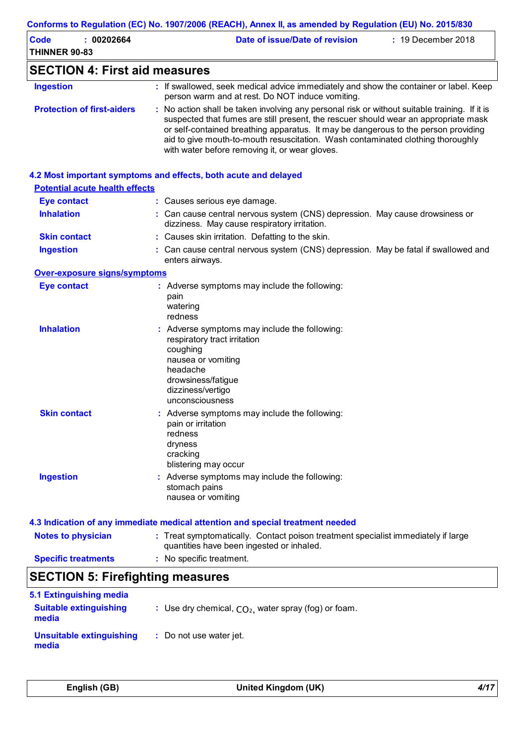| <b>Code</b><br>: 00202664               | Date of issue/Date of revision<br>: 19 December 2018                                                                                                                                                                                                                                                                                                                                                            |
|-----------------------------------------|-----------------------------------------------------------------------------------------------------------------------------------------------------------------------------------------------------------------------------------------------------------------------------------------------------------------------------------------------------------------------------------------------------------------|
| <b>THINNER 90-83</b>                    |                                                                                                                                                                                                                                                                                                                                                                                                                 |
| <b>SECTION 4: First aid measures</b>    |                                                                                                                                                                                                                                                                                                                                                                                                                 |
| <b>Ingestion</b>                        | : If swallowed, seek medical advice immediately and show the container or label. Keep<br>person warm and at rest. Do NOT induce vomiting.                                                                                                                                                                                                                                                                       |
| <b>Protection of first-aiders</b>       | : No action shall be taken involving any personal risk or without suitable training. If it is<br>suspected that fumes are still present, the rescuer should wear an appropriate mask<br>or self-contained breathing apparatus. It may be dangerous to the person providing<br>aid to give mouth-to-mouth resuscitation. Wash contaminated clothing thoroughly<br>with water before removing it, or wear gloves. |
|                                         | 4.2 Most important symptoms and effects, both acute and delayed                                                                                                                                                                                                                                                                                                                                                 |
| <b>Potential acute health effects</b>   |                                                                                                                                                                                                                                                                                                                                                                                                                 |
| <b>Eye contact</b>                      | : Causes serious eye damage.                                                                                                                                                                                                                                                                                                                                                                                    |
| <b>Inhalation</b>                       | : Can cause central nervous system (CNS) depression. May cause drowsiness or<br>dizziness. May cause respiratory irritation.                                                                                                                                                                                                                                                                                    |
| <b>Skin contact</b>                     | : Causes skin irritation. Defatting to the skin.                                                                                                                                                                                                                                                                                                                                                                |
| <b>Ingestion</b>                        | : Can cause central nervous system (CNS) depression. May be fatal if swallowed and<br>enters airways.                                                                                                                                                                                                                                                                                                           |
| <b>Over-exposure signs/symptoms</b>     |                                                                                                                                                                                                                                                                                                                                                                                                                 |
| <b>Eye contact</b>                      | : Adverse symptoms may include the following:<br>pain<br>watering                                                                                                                                                                                                                                                                                                                                               |
| <b>Inhalation</b>                       | redness<br>: Adverse symptoms may include the following:<br>respiratory tract irritation<br>coughing<br>nausea or vomiting                                                                                                                                                                                                                                                                                      |
|                                         | headache<br>drowsiness/fatigue<br>dizziness/vertigo<br>unconsciousness                                                                                                                                                                                                                                                                                                                                          |
| <b>Skin contact</b>                     | : Adverse symptoms may include the following:<br>pain or irritation<br>redness<br>dryness<br>cracking<br>blistering may occur                                                                                                                                                                                                                                                                                   |
| <b>Ingestion</b>                        | Adverse symptoms may include the following:<br>stomach pains<br>nausea or vomiting                                                                                                                                                                                                                                                                                                                              |
|                                         | 4.3 Indication of any immediate medical attention and special treatment needed                                                                                                                                                                                                                                                                                                                                  |
| <b>Notes to physician</b>               | : Treat symptomatically. Contact poison treatment specialist immediately if large<br>quantities have been ingested or inhaled.                                                                                                                                                                                                                                                                                  |
| <b>Specific treatments</b>              | : No specific treatment.                                                                                                                                                                                                                                                                                                                                                                                        |
| <b>SECTION 5: Firefighting measures</b> |                                                                                                                                                                                                                                                                                                                                                                                                                 |
| 5.1 Extinguishing media                 |                                                                                                                                                                                                                                                                                                                                                                                                                 |
| <b>Suitable extinguishing</b><br>media  | : Use dry chemical, $CO2$ , water spray (fog) or foam.                                                                                                                                                                                                                                                                                                                                                          |
|                                         |                                                                                                                                                                                                                                                                                                                                                                                                                 |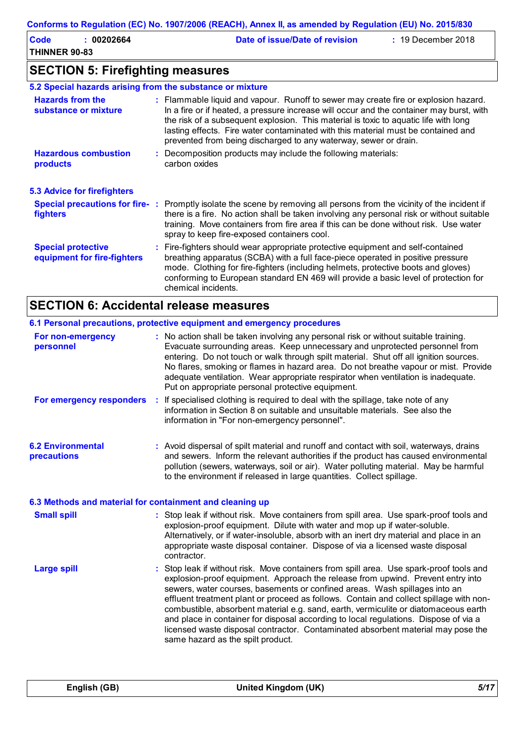| Code                 | 00202664 | Date of issue/Date of revision | $: 19$ December 2018 |
|----------------------|----------|--------------------------------|----------------------|
| <b>THINNER 90-83</b> |          |                                |                      |

# **SECTION 5: Firefighting measures**

| 5.2 Special hazards arising from the substance or mixture |                                                                                                                                                                                                                                                                                                                                                                                                                                  |
|-----------------------------------------------------------|----------------------------------------------------------------------------------------------------------------------------------------------------------------------------------------------------------------------------------------------------------------------------------------------------------------------------------------------------------------------------------------------------------------------------------|
| <b>Hazards from the</b><br>substance or mixture           | : Flammable liquid and vapour. Runoff to sewer may create fire or explosion hazard.<br>In a fire or if heated, a pressure increase will occur and the container may burst, with<br>the risk of a subsequent explosion. This material is toxic to aquatic life with long<br>lasting effects. Fire water contaminated with this material must be contained and<br>prevented from being discharged to any waterway, sewer or drain. |
| <b>Hazardous combustion</b><br>products                   | Decomposition products may include the following materials:<br>carbon oxides                                                                                                                                                                                                                                                                                                                                                     |
| <b>5.3 Advice for firefighters</b>                        |                                                                                                                                                                                                                                                                                                                                                                                                                                  |
| fighters                                                  | Special precautions for fire-: Promptly isolate the scene by removing all persons from the vicinity of the incident if<br>there is a fire. No action shall be taken involving any personal risk or without suitable<br>training. Move containers from fire area if this can be done without risk. Use water<br>spray to keep fire-exposed containers cool.                                                                       |
| <b>Special protective</b><br>equipment for fire-fighters  | : Fire-fighters should wear appropriate protective equipment and self-contained<br>breathing apparatus (SCBA) with a full face-piece operated in positive pressure<br>mode. Clothing for fire-fighters (including helmets, protective boots and gloves)<br>conforming to European standard EN 469 will provide a basic level of protection for<br>chemical incidents.                                                            |

# **SECTION 6: Accidental release measures**

|                                                          | 6.1 Personal precautions, protective equipment and emergency procedures                                                                                                                                                                                                                                                                                                                                                                                                                                                                                                                                                                                    |
|----------------------------------------------------------|------------------------------------------------------------------------------------------------------------------------------------------------------------------------------------------------------------------------------------------------------------------------------------------------------------------------------------------------------------------------------------------------------------------------------------------------------------------------------------------------------------------------------------------------------------------------------------------------------------------------------------------------------------|
| For non-emergency<br>personnel                           | : No action shall be taken involving any personal risk or without suitable training.<br>Evacuate surrounding areas. Keep unnecessary and unprotected personnel from<br>entering. Do not touch or walk through spilt material. Shut off all ignition sources.<br>No flares, smoking or flames in hazard area. Do not breathe vapour or mist. Provide<br>adequate ventilation. Wear appropriate respirator when ventilation is inadequate.<br>Put on appropriate personal protective equipment.                                                                                                                                                              |
| For emergency responders                                 | If specialised clothing is required to deal with the spillage, take note of any<br>÷<br>information in Section 8 on suitable and unsuitable materials. See also the<br>information in "For non-emergency personnel".                                                                                                                                                                                                                                                                                                                                                                                                                                       |
| <b>6.2 Environmental</b><br>precautions                  | : Avoid dispersal of spilt material and runoff and contact with soil, waterways, drains<br>and sewers. Inform the relevant authorities if the product has caused environmental<br>pollution (sewers, waterways, soil or air). Water polluting material. May be harmful<br>to the environment if released in large quantities. Collect spillage.                                                                                                                                                                                                                                                                                                            |
| 6.3 Methods and material for containment and cleaning up |                                                                                                                                                                                                                                                                                                                                                                                                                                                                                                                                                                                                                                                            |
| <b>Small spill</b>                                       | : Stop leak if without risk. Move containers from spill area. Use spark-proof tools and<br>explosion-proof equipment. Dilute with water and mop up if water-soluble.<br>Alternatively, or if water-insoluble, absorb with an inert dry material and place in an<br>appropriate waste disposal container. Dispose of via a licensed waste disposal<br>contractor.                                                                                                                                                                                                                                                                                           |
| <b>Large spill</b>                                       | : Stop leak if without risk. Move containers from spill area. Use spark-proof tools and<br>explosion-proof equipment. Approach the release from upwind. Prevent entry into<br>sewers, water courses, basements or confined areas. Wash spillages into an<br>effluent treatment plant or proceed as follows. Contain and collect spillage with non-<br>combustible, absorbent material e.g. sand, earth, vermiculite or diatomaceous earth<br>and place in container for disposal according to local regulations. Dispose of via a<br>licensed waste disposal contractor. Contaminated absorbent material may pose the<br>same hazard as the spilt product. |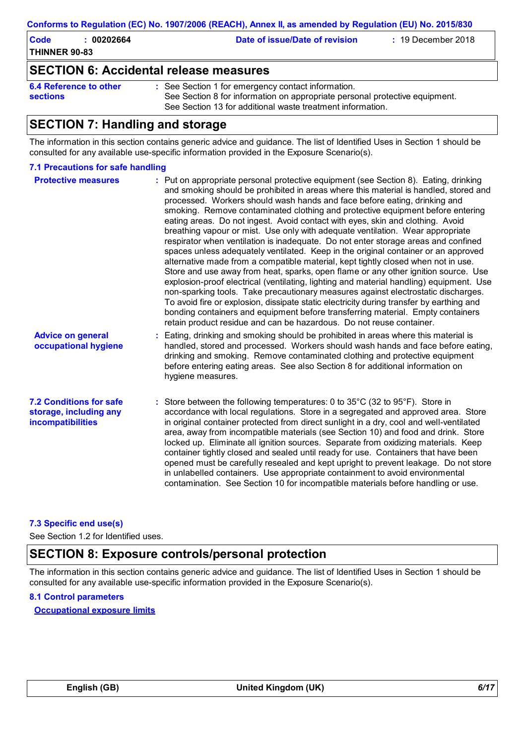| Code                 | 002026 |
|----------------------|--------|
| <b>THINNER 90-83</b> |        |

**Code Example 2018 Date of issue/Date of revision by 2018 2018 2018** 

## **SECTION 6: Accidental release measures**

```
6.4 Reference to other 
sections
```
See Section 1 for emergency contact information. **:** See Section 8 for information on appropriate personal protective equipment. See Section 13 for additional waste treatment information.

# **SECTION 7: Handling and storage**

The information in this section contains generic advice and guidance. The list of Identified Uses in Section 1 should be consulted for any available use-specific information provided in the Exposure Scenario(s).

#### **7.1 Precautions for safe handling**

| <b>Protective measures</b>                                                           | : Put on appropriate personal protective equipment (see Section 8). Eating, drinking<br>and smoking should be prohibited in areas where this material is handled, stored and<br>processed. Workers should wash hands and face before eating, drinking and<br>smoking. Remove contaminated clothing and protective equipment before entering<br>eating areas. Do not ingest. Avoid contact with eyes, skin and clothing. Avoid<br>breathing vapour or mist. Use only with adequate ventilation. Wear appropriate<br>respirator when ventilation is inadequate. Do not enter storage areas and confined<br>spaces unless adequately ventilated. Keep in the original container or an approved<br>alternative made from a compatible material, kept tightly closed when not in use.<br>Store and use away from heat, sparks, open flame or any other ignition source. Use<br>explosion-proof electrical (ventilating, lighting and material handling) equipment. Use<br>non-sparking tools. Take precautionary measures against electrostatic discharges.<br>To avoid fire or explosion, dissipate static electricity during transfer by earthing and<br>bonding containers and equipment before transferring material. Empty containers<br>retain product residue and can be hazardous. Do not reuse container. |
|--------------------------------------------------------------------------------------|---------------------------------------------------------------------------------------------------------------------------------------------------------------------------------------------------------------------------------------------------------------------------------------------------------------------------------------------------------------------------------------------------------------------------------------------------------------------------------------------------------------------------------------------------------------------------------------------------------------------------------------------------------------------------------------------------------------------------------------------------------------------------------------------------------------------------------------------------------------------------------------------------------------------------------------------------------------------------------------------------------------------------------------------------------------------------------------------------------------------------------------------------------------------------------------------------------------------------------------------------------------------------------------------------------------|
| <b>Advice on general</b><br>occupational hygiene                                     | : Eating, drinking and smoking should be prohibited in areas where this material is<br>handled, stored and processed. Workers should wash hands and face before eating,<br>drinking and smoking. Remove contaminated clothing and protective equipment<br>before entering eating areas. See also Section 8 for additional information on<br>hygiene measures.                                                                                                                                                                                                                                                                                                                                                                                                                                                                                                                                                                                                                                                                                                                                                                                                                                                                                                                                                 |
| <b>7.2 Conditions for safe</b><br>storage, including any<br><b>incompatibilities</b> | : Store between the following temperatures: 0 to $35^{\circ}$ C (32 to $95^{\circ}$ F). Store in<br>accordance with local regulations. Store in a segregated and approved area. Store<br>in original container protected from direct sunlight in a dry, cool and well-ventilated<br>area, away from incompatible materials (see Section 10) and food and drink. Store<br>locked up. Eliminate all ignition sources. Separate from oxidizing materials. Keep<br>container tightly closed and sealed until ready for use. Containers that have been<br>opened must be carefully resealed and kept upright to prevent leakage. Do not store<br>in unlabelled containers. Use appropriate containment to avoid environmental<br>contamination. See Section 10 for incompatible materials before handling or use.                                                                                                                                                                                                                                                                                                                                                                                                                                                                                                  |

#### **7.3 Specific end use(s)**

See Section 1.2 for Identified uses.

## **SECTION 8: Exposure controls/personal protection**

The information in this section contains generic advice and guidance. The list of Identified Uses in Section 1 should be consulted for any available use-specific information provided in the Exposure Scenario(s).

#### **8.1 Control parameters**

**Occupational exposure limits**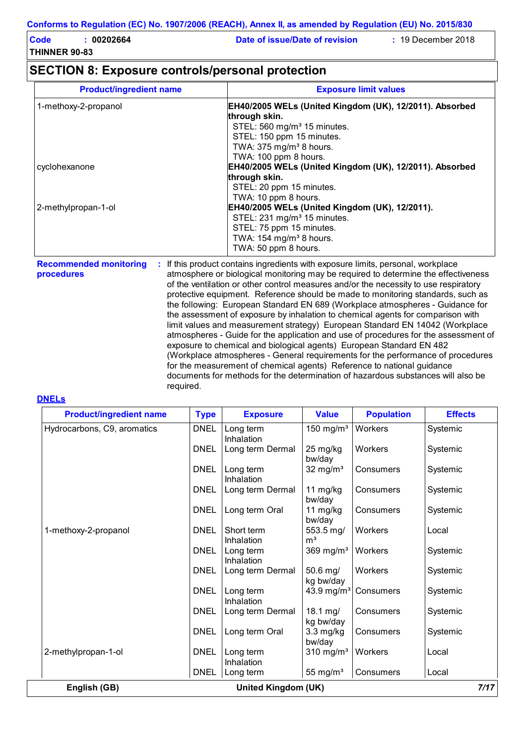| Code                 | 00202664 | Date of issue/Date of revision | $\div$ 19 December 2018 |
|----------------------|----------|--------------------------------|-------------------------|
| <b>THINNER 90-83</b> |          |                                |                         |

## **SECTION 8: Exposure controls/personal protection**

| <b>Product/ingredient name</b> | <b>Exposure limit values</b>                                             |
|--------------------------------|--------------------------------------------------------------------------|
| 1-methoxy-2-propanol           | EH40/2005 WELs (United Kingdom (UK), 12/2011). Absorbed<br>through skin. |
|                                | STEL: 560 mg/m <sup>3</sup> 15 minutes.                                  |
|                                | STEL: 150 ppm 15 minutes.                                                |
|                                | TWA: 375 mg/m <sup>3</sup> 8 hours.                                      |
|                                | TWA: 100 ppm 8 hours.                                                    |
| cyclohexanone                  | EH40/2005 WELs (United Kingdom (UK), 12/2011). Absorbed                  |
|                                | through skin.                                                            |
|                                | STEL: 20 ppm 15 minutes.                                                 |
|                                | TWA: 10 ppm 8 hours.                                                     |
| 2-methylpropan-1-ol            | EH40/2005 WELs (United Kingdom (UK), 12/2011).                           |
|                                | STEL: 231 mg/m <sup>3</sup> 15 minutes.                                  |
|                                | STEL: 75 ppm 15 minutes.                                                 |
|                                | TWA: 154 mg/m <sup>3</sup> 8 hours.                                      |
|                                | TWA: 50 ppm 8 hours.                                                     |

**Recommended monitoring procedures :** If this product contains ingredients with exposure limits, personal, workplace atmosphere or biological monitoring may be required to determine the effectiveness of the ventilation or other control measures and/or the necessity to use respiratory protective equipment. Reference should be made to monitoring standards, such as the following: European Standard EN 689 (Workplace atmospheres - Guidance for the assessment of exposure by inhalation to chemical agents for comparison with limit values and measurement strategy) European Standard EN 14042 (Workplace atmospheres - Guide for the application and use of procedures for the assessment of exposure to chemical and biological agents) European Standard EN 482 (Workplace atmospheres - General requirements for the performance of procedures for the measurement of chemical agents) Reference to national guidance documents for methods for the determination of hazardous substances will also be required.

#### **DNELs**

| <b>Product/ingredient name</b>              | <b>Type</b> | <b>Exposure</b>          | <b>Value</b>                | <b>Population</b> | <b>Effects</b> |  |  |
|---------------------------------------------|-------------|--------------------------|-----------------------------|-------------------|----------------|--|--|
| Hydrocarbons, C9, aromatics                 | <b>DNEL</b> | Long term<br>Inhalation  | 150 mg/ $m3$                | Workers           | Systemic       |  |  |
|                                             | <b>DNEL</b> | Long term Dermal         | 25 mg/kg<br>bw/day          | Workers           | Systemic       |  |  |
|                                             | <b>DNEL</b> | Long term<br>Inhalation  | 32 mg/ $m3$                 | Consumers         | Systemic       |  |  |
|                                             | <b>DNEL</b> | Long term Dermal         | 11 mg/kg<br>bw/day          | Consumers         | Systemic       |  |  |
|                                             | <b>DNEL</b> | Long term Oral           | 11 $mg/kg$<br>bw/day        | Consumers         | Systemic       |  |  |
| 1-methoxy-2-propanol                        | <b>DNEL</b> | Short term<br>Inhalation | 553.5 mg/<br>m <sup>3</sup> | <b>Workers</b>    | Local          |  |  |
|                                             | <b>DNEL</b> | Long term<br>Inhalation  | $369$ mg/m <sup>3</sup>     | Workers           | Systemic       |  |  |
|                                             | <b>DNEL</b> | Long term Dermal         | 50.6 mg/<br>kg bw/day       | Workers           | Systemic       |  |  |
|                                             | <b>DNEL</b> | Long term<br>Inhalation  | 43.9 mg/m <sup>3</sup>      | Consumers         | Systemic       |  |  |
|                                             | <b>DNEL</b> | Long term Dermal         | 18.1 mg/<br>kg bw/day       | Consumers         | Systemic       |  |  |
|                                             | <b>DNEL</b> | Long term Oral           | $3.3$ mg/kg<br>bw/day       | Consumers         | Systemic       |  |  |
| 2-methylpropan-1-ol                         | <b>DNEL</b> | Long term<br>Inhalation  | $310 \text{ mg/m}^3$        | Workers           | Local          |  |  |
|                                             | <b>DNEL</b> | Long term                | 55 mg/ $m3$                 | Consumers         | Local          |  |  |
| 7/17<br>English (GB)<br>United Kingdom (UK) |             |                          |                             |                   |                |  |  |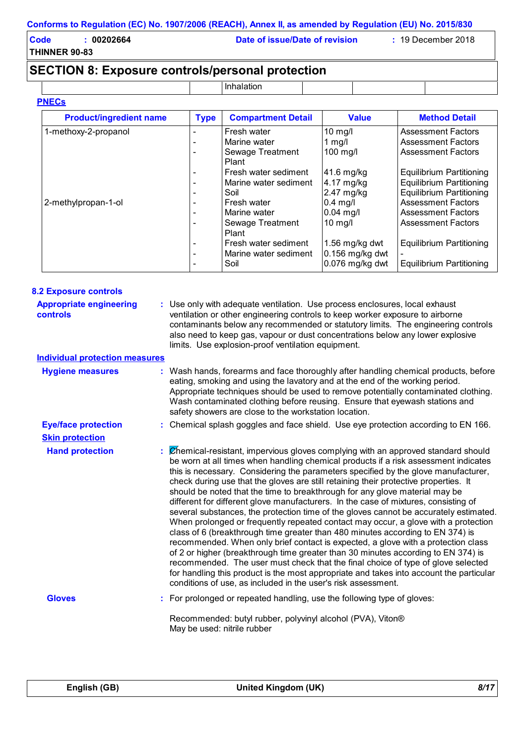| Code                 | 00202664 | Date of issue/Date of revision | $: 19$ December 2018 |
|----------------------|----------|--------------------------------|----------------------|
| <b>THINNER 90-83</b> |          |                                |                      |

# **SECTION 8: Exposure controls/personal protection**

Inhalation

| <b>Product/ingredient name</b> | <b>Type</b>              | <b>Compartment Detail</b> | <b>Value</b>      | <b>Method Detail</b>            |
|--------------------------------|--------------------------|---------------------------|-------------------|---------------------------------|
| 1-methoxy-2-propanol           |                          | Fresh water               | 10 mg/l           | <b>Assessment Factors</b>       |
|                                | $\overline{\phantom{0}}$ | Marine water              | 1 $mg/l$          | Assessment Factors              |
|                                | ۰                        | Sewage Treatment<br>Plant | 100 mg/l          | Assessment Factors              |
|                                | -                        | Fresh water sediment      | $41.6$ mg/kg      | Equilibrium Partitioning        |
|                                | $\overline{\phantom{0}}$ | Marine water sediment     | 4.17 mg/kg        | <b>Equilibrium Partitioning</b> |
|                                | -                        | Soil                      | $2.47$ mg/kg      | <b>Equilibrium Partitioning</b> |
| 2-methylpropan-1-ol            | -                        | Fresh water               | $0.4$ mg/l        | <b>Assessment Factors</b>       |
|                                | ۰                        | Marine water              | $0.04$ mg/l       | Assessment Factors              |
|                                |                          | Sewage Treatment<br>Plant | $10$ mg/l         | <b>Assessment Factors</b>       |
|                                | $\overline{\phantom{0}}$ | Fresh water sediment      | 1.56 mg/kg dwt    | <b>Equilibrium Partitioning</b> |
|                                | -                        | Marine water sediment     | $0.156$ mg/kg dwt |                                 |
|                                |                          | Soil                      | 0.076 mg/kg dwt   | Equilibrium Partitioning        |

| <b>8.2 Exposure controls</b>                      |                                                                                                                                                                                                                                                                                                                                                                                                                                                                                                                                                                                                                                                                                                                                                                                                                                                                                                                                                                                                                                                                                                                                                                                                                        |
|---------------------------------------------------|------------------------------------------------------------------------------------------------------------------------------------------------------------------------------------------------------------------------------------------------------------------------------------------------------------------------------------------------------------------------------------------------------------------------------------------------------------------------------------------------------------------------------------------------------------------------------------------------------------------------------------------------------------------------------------------------------------------------------------------------------------------------------------------------------------------------------------------------------------------------------------------------------------------------------------------------------------------------------------------------------------------------------------------------------------------------------------------------------------------------------------------------------------------------------------------------------------------------|
| <b>Appropriate engineering</b><br><b>controls</b> | : Use only with adequate ventilation. Use process enclosures, local exhaust<br>ventilation or other engineering controls to keep worker exposure to airborne<br>contaminants below any recommended or statutory limits. The engineering controls<br>also need to keep gas, vapour or dust concentrations below any lower explosive<br>limits. Use explosion-proof ventilation equipment.                                                                                                                                                                                                                                                                                                                                                                                                                                                                                                                                                                                                                                                                                                                                                                                                                               |
| <b>Individual protection measures</b>             |                                                                                                                                                                                                                                                                                                                                                                                                                                                                                                                                                                                                                                                                                                                                                                                                                                                                                                                                                                                                                                                                                                                                                                                                                        |
| <b>Hygiene measures</b>                           | : Wash hands, forearms and face thoroughly after handling chemical products, before<br>eating, smoking and using the lavatory and at the end of the working period.<br>Appropriate techniques should be used to remove potentially contaminated clothing.<br>Wash contaminated clothing before reusing. Ensure that eyewash stations and<br>safety showers are close to the workstation location.                                                                                                                                                                                                                                                                                                                                                                                                                                                                                                                                                                                                                                                                                                                                                                                                                      |
| <b>Eye/face protection</b>                        | : Chemical splash goggles and face shield. Use eye protection according to EN 166.                                                                                                                                                                                                                                                                                                                                                                                                                                                                                                                                                                                                                                                                                                                                                                                                                                                                                                                                                                                                                                                                                                                                     |
| <b>Skin protection</b>                            |                                                                                                                                                                                                                                                                                                                                                                                                                                                                                                                                                                                                                                                                                                                                                                                                                                                                                                                                                                                                                                                                                                                                                                                                                        |
| <b>Hand protection</b>                            | Chemical-resistant, impervious gloves complying with an approved standard should<br>be worn at all times when handling chemical products if a risk assessment indicates<br>this is necessary. Considering the parameters specified by the glove manufacturer,<br>check during use that the gloves are still retaining their protective properties. It<br>should be noted that the time to breakthrough for any glove material may be<br>different for different glove manufacturers. In the case of mixtures, consisting of<br>several substances, the protection time of the gloves cannot be accurately estimated.<br>When prolonged or frequently repeated contact may occur, a glove with a protection<br>class of 6 (breakthrough time greater than 480 minutes according to EN 374) is<br>recommended. When only brief contact is expected, a glove with a protection class<br>of 2 or higher (breakthrough time greater than 30 minutes according to EN 374) is<br>recommended. The user must check that the final choice of type of glove selected<br>for handling this product is the most appropriate and takes into account the particular<br>conditions of use, as included in the user's risk assessment. |
| <b>Gloves</b>                                     | For prolonged or repeated handling, use the following type of gloves:                                                                                                                                                                                                                                                                                                                                                                                                                                                                                                                                                                                                                                                                                                                                                                                                                                                                                                                                                                                                                                                                                                                                                  |
|                                                   | Recommended: butyl rubber, polyvinyl alcohol (PVA), Viton®<br>May be used: nitrile rubber                                                                                                                                                                                                                                                                                                                                                                                                                                                                                                                                                                                                                                                                                                                                                                                                                                                                                                                                                                                                                                                                                                                              |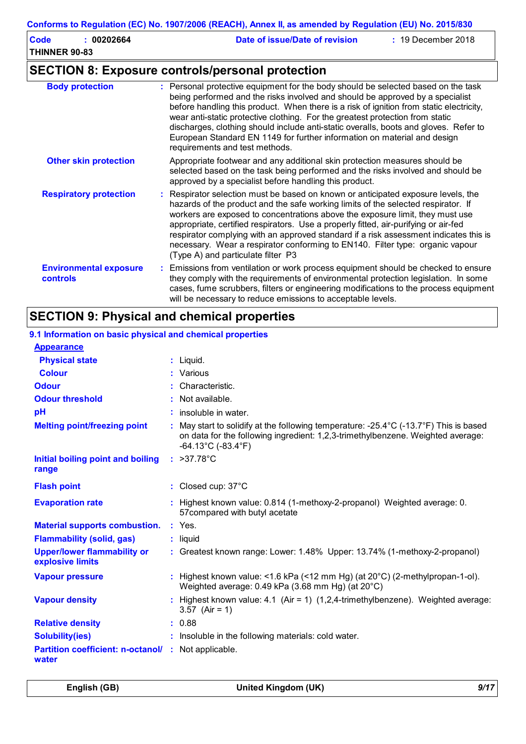| Code                 | 00202664 | Date of issue/Date of revision | $: 19$ December 2018 |
|----------------------|----------|--------------------------------|----------------------|
| <b>THINNER 90-83</b> |          |                                |                      |
|                      |          |                                |                      |

# **SECTION 8: Exposure controls/personal protection**

| <b>Body protection</b>                           | : Personal protective equipment for the body should be selected based on the task<br>being performed and the risks involved and should be approved by a specialist<br>before handling this product. When there is a risk of ignition from static electricity,<br>wear anti-static protective clothing. For the greatest protection from static<br>discharges, clothing should include anti-static overalls, boots and gloves. Refer to<br>European Standard EN 1149 for further information on material and design<br>requirements and test methods.           |
|--------------------------------------------------|----------------------------------------------------------------------------------------------------------------------------------------------------------------------------------------------------------------------------------------------------------------------------------------------------------------------------------------------------------------------------------------------------------------------------------------------------------------------------------------------------------------------------------------------------------------|
| <b>Other skin protection</b>                     | Appropriate footwear and any additional skin protection measures should be<br>selected based on the task being performed and the risks involved and should be<br>approved by a specialist before handling this product.                                                                                                                                                                                                                                                                                                                                        |
| <b>Respiratory protection</b>                    | : Respirator selection must be based on known or anticipated exposure levels, the<br>hazards of the product and the safe working limits of the selected respirator. If<br>workers are exposed to concentrations above the exposure limit, they must use<br>appropriate, certified respirators. Use a properly fitted, air-purifying or air-fed<br>respirator complying with an approved standard if a risk assessment indicates this is<br>necessary. Wear a respirator conforming to EN140. Filter type: organic vapour<br>(Type A) and particulate filter P3 |
| <b>Environmental exposure</b><br><b>controls</b> | : Emissions from ventilation or work process equipment should be checked to ensure<br>they comply with the requirements of environmental protection legislation. In some<br>cases, fume scrubbers, filters or engineering modifications to the process equipment<br>will be necessary to reduce emissions to acceptable levels.                                                                                                                                                                                                                                |

# **SECTION 9: Physical and chemical properties**

| 9.1 Information on basic physical and chemical properties |    |                                                                                                                                                                                                                     |
|-----------------------------------------------------------|----|---------------------------------------------------------------------------------------------------------------------------------------------------------------------------------------------------------------------|
| <b>Appearance</b>                                         |    |                                                                                                                                                                                                                     |
| <b>Physical state</b>                                     |    | $:$ Liquid.                                                                                                                                                                                                         |
| <b>Colour</b>                                             |    | : Various                                                                                                                                                                                                           |
| <b>Odour</b>                                              |    | Characteristic.                                                                                                                                                                                                     |
| <b>Odour threshold</b>                                    |    | Not available.                                                                                                                                                                                                      |
| pH                                                        |    | $:$ insoluble in water.                                                                                                                                                                                             |
| <b>Melting point/freezing point</b>                       |    | : May start to solidify at the following temperature: -25.4°C (-13.7°F) This is based<br>on data for the following ingredient: 1,2,3-trimethylbenzene. Weighted average:<br>$-64.13^{\circ}$ C ( $-83.4^{\circ}$ F) |
| Initial boiling point and boiling<br>range                |    | : $>37.78^{\circ}C$                                                                                                                                                                                                 |
| <b>Flash point</b>                                        |    | : Closed cup: 37°C                                                                                                                                                                                                  |
| <b>Evaporation rate</b>                                   |    | Highest known value: 0.814 (1-methoxy-2-propanol) Weighted average: 0.<br>57compared with butyl acetate                                                                                                             |
| <b>Material supports combustion.</b>                      |    | $:$ Yes.                                                                                                                                                                                                            |
| <b>Flammability (solid, gas)</b>                          |    | $:$ liquid                                                                                                                                                                                                          |
| <b>Upper/lower flammability or</b><br>explosive limits    |    | : Greatest known range: Lower: 1.48% Upper: 13.74% (1-methoxy-2-propanol)                                                                                                                                           |
| <b>Vapour pressure</b>                                    | ÷. | Highest known value: <1.6 kPa (<12 mm Hg) (at $20^{\circ}$ C) (2-methylpropan-1-ol).<br>Weighted average: 0.49 kPa (3.68 mm Hg) (at 20°C)                                                                           |
| <b>Vapour density</b>                                     |    | Highest known value: 4.1 (Air = 1) $(1,2,4$ -trimethylbenzene). Weighted average:<br>3.57 (Air = 1)                                                                                                                 |
| <b>Relative density</b>                                   |    | : 0.88                                                                                                                                                                                                              |
| <b>Solubility(ies)</b>                                    |    | : Insoluble in the following materials: cold water.                                                                                                                                                                 |
| <b>Partition coefficient: n-octanol/</b><br>water         | ÷  | Not applicable.                                                                                                                                                                                                     |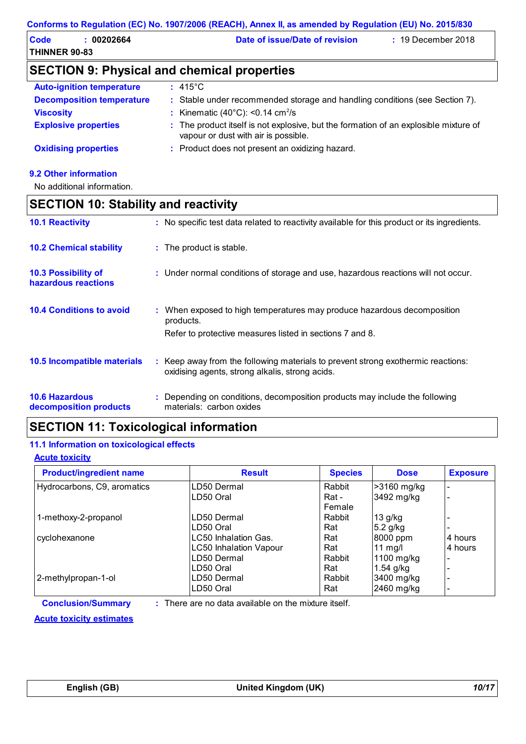| Code                 | 00202664 | Date of issue/Date of revision | $: 19$ December 2018 |
|----------------------|----------|--------------------------------|----------------------|
| <b>THINNER 90-83</b> |          |                                |                      |

# **SECTION 9: Physical and chemical properties**

| <b>Auto-ignition temperature</b> | $\pm$ 415°C.                                                                                                                 |
|----------------------------------|------------------------------------------------------------------------------------------------------------------------------|
| <b>Decomposition temperature</b> | : Stable under recommended storage and handling conditions (see Section 7).                                                  |
| <b>Viscosity</b>                 | : Kinematic $(40^{\circ}$ C): <0.14 cm <sup>2</sup> /s                                                                       |
| <b>Explosive properties</b>      | : The product itself is not explosive, but the formation of an explosible mixture of<br>vapour or dust with air is possible. |
| <b>Oxidising properties</b>      | : Product does not present an oxidizing hazard.                                                                              |
|                                  |                                                                                                                              |

### **9.2 Other information**

No additional information.

|                                                   | <b>SECTION 10: Stability and reactivity</b> |                                                                                                                                     |  |  |
|---------------------------------------------------|---------------------------------------------|-------------------------------------------------------------------------------------------------------------------------------------|--|--|
| <b>10.1 Reactivity</b>                            |                                             | : No specific test data related to reactivity available for this product or its ingredients.                                        |  |  |
| <b>10.2 Chemical stability</b>                    |                                             | : The product is stable.                                                                                                            |  |  |
| <b>10.3 Possibility of</b><br>hazardous reactions |                                             | : Under normal conditions of storage and use, hazardous reactions will not occur.                                                   |  |  |
| <b>10.4 Conditions to avoid</b>                   |                                             | : When exposed to high temperatures may produce hazardous decomposition<br>products.                                                |  |  |
|                                                   |                                             | Refer to protective measures listed in sections 7 and 8.                                                                            |  |  |
| <b>10.5 Incompatible materials</b>                |                                             | : Keep away from the following materials to prevent strong exothermic reactions:<br>oxidising agents, strong alkalis, strong acids. |  |  |
| <b>10.6 Hazardous</b><br>decomposition products   |                                             | : Depending on conditions, decomposition products may include the following<br>materials: carbon oxides                             |  |  |

# **SECTION 11: Toxicological information**

### **11.1 Information on toxicological effects**

**Acute toxicity**

| <b>Product/ingredient name</b> | <b>Result</b>                 | <b>Species</b> | <b>Dose</b> | <b>Exposure</b> |
|--------------------------------|-------------------------------|----------------|-------------|-----------------|
| Hydrocarbons, C9, aromatics    | LD50 Dermal                   | Rabbit         | >3160 mg/kg |                 |
|                                | LD50 Oral                     | Rat -          | 3492 mg/kg  |                 |
|                                |                               | Female         |             |                 |
| 1-methoxy-2-propanol           | LD50 Dermal                   | Rabbit         | $13$ g/kg   |                 |
|                                | LD50 Oral                     | Rat            | $5.2$ g/kg  |                 |
| cyclohexanone                  | LC50 Inhalation Gas.          | Rat            | 8000 ppm    | 4 hours         |
|                                | <b>LC50 Inhalation Vapour</b> | Rat            | 11 $mg/l$   | 4 hours         |
|                                | LD50 Dermal                   | Rabbit         | 1100 mg/kg  |                 |
|                                | ILD50 Oral                    | Rat            | $1.54$ g/kg |                 |
| 2-methylpropan-1-ol            | LD50 Dermal                   | Rabbit         | 3400 mg/kg  |                 |
|                                | ILD50 Oral                    | Rat            | 2460 mg/kg  |                 |

**Conclusion/Summary :**

: There are no data available on the mixture itself.

**Acute toxicity estimates**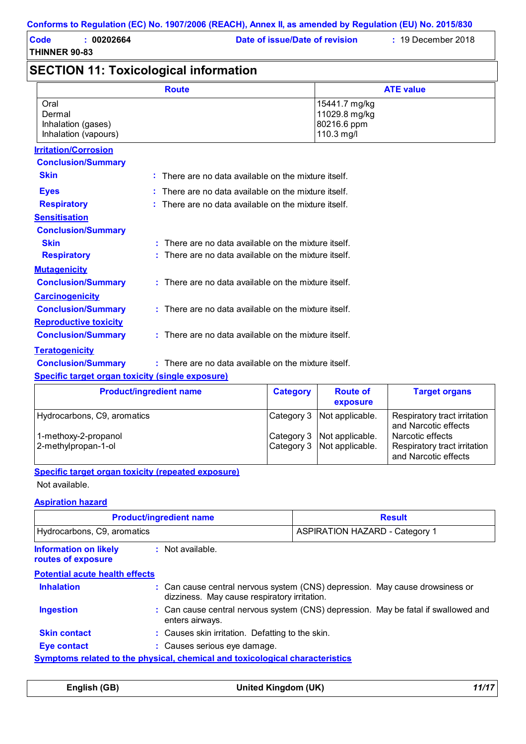| <b>Code</b>          | : 00202664 |
|----------------------|------------|
| <b>THINNER 90-83</b> |            |

**Date of issue/Date of revision :** 19 December 2018

# **SECTION 11: Toxicological information**

|                                                              | <b>Route</b>                                                    |                 |                                                             | <b>ATE value</b>     |
|--------------------------------------------------------------|-----------------------------------------------------------------|-----------------|-------------------------------------------------------------|----------------------|
| Oral<br>Dermal<br>Inhalation (gases)<br>Inhalation (vapours) |                                                                 |                 | 15441.7 mg/kg<br>11029.8 mg/kg<br>80216.6 ppm<br>110.3 mg/l |                      |
| <b>Irritation/Corrosion</b>                                  |                                                                 |                 |                                                             |                      |
| <b>Conclusion/Summary</b>                                    |                                                                 |                 |                                                             |                      |
| <b>Skin</b>                                                  | $\therefore$ There are no data available on the mixture itself. |                 |                                                             |                      |
| <b>Eyes</b>                                                  | $:$ There are no data available on the mixture itself.          |                 |                                                             |                      |
| <b>Respiratory</b>                                           | $:$ There are no data available on the mixture itself.          |                 |                                                             |                      |
| <b>Sensitisation</b>                                         |                                                                 |                 |                                                             |                      |
| <b>Conclusion/Summary</b>                                    |                                                                 |                 |                                                             |                      |
| <b>Skin</b>                                                  | $:$ There are no data available on the mixture itself.          |                 |                                                             |                      |
| <b>Respiratory</b>                                           | There are no data available on the mixture itself.              |                 |                                                             |                      |
| <b>Mutagenicity</b>                                          |                                                                 |                 |                                                             |                      |
| <b>Conclusion/Summary</b>                                    | : There are no data available on the mixture itself.            |                 |                                                             |                      |
| <b>Carcinogenicity</b>                                       |                                                                 |                 |                                                             |                      |
| <b>Conclusion/Summary</b>                                    | $:$ There are no data available on the mixture itself.          |                 |                                                             |                      |
| <b>Reproductive toxicity</b>                                 |                                                                 |                 |                                                             |                      |
| <b>Conclusion/Summary</b>                                    | $:$ There are no data available on the mixture itself.          |                 |                                                             |                      |
| <b>Teratogenicity</b>                                        |                                                                 |                 |                                                             |                      |
| <b>Conclusion/Summary</b>                                    | $:$ There are no data available on the mixture itself.          |                 |                                                             |                      |
| <b>Specific target organ toxicity (single exposure)</b>      |                                                                 |                 |                                                             |                      |
|                                                              | <b>Product/ingredient name</b>                                  | <b>Category</b> | <b>Route of</b>                                             | <b>Target organs</b> |

| <b>Product/ingredient name</b> | <b>Category</b> | <b>Route of</b><br>exposure  | <b>Target organs</b>                                 |
|--------------------------------|-----------------|------------------------------|------------------------------------------------------|
| Hydrocarbons, C9, aromatics    |                 | Category 3   Not applicable. | Respiratory tract irritation<br>and Narcotic effects |
| 1-methoxy-2-propanol           |                 | Category 3 Not applicable.   | Narcotic effects                                     |
| 2-methylpropan-1-ol            |                 | Category 3 Not applicable.   | Respiratory tract irritation<br>and Narcotic effects |

## **Specific target organ toxicity (repeated exposure)**

Not available.

#### **Aspiration hazard**

|                                                    | <b>Product/ingredient name</b>                                               | <b>Result</b>                                                                      |  |
|----------------------------------------------------|------------------------------------------------------------------------------|------------------------------------------------------------------------------------|--|
| Hydrocarbons, C9, aromatics                        |                                                                              | <b>ASPIRATION HAZARD - Category 1</b>                                              |  |
| <b>Information on likely</b><br>routes of exposure | $:$ Not available.                                                           |                                                                                    |  |
| <b>Potential acute health effects</b>              |                                                                              |                                                                                    |  |
| <b>Inhalation</b>                                  | dizziness. May cause respiratory irritation.                                 | : Can cause central nervous system (CNS) depression. May cause drowsiness or       |  |
| <b>Ingestion</b>                                   | enters airways.                                                              | : Can cause central nervous system (CNS) depression. May be fatal if swallowed and |  |
| <b>Skin contact</b>                                | : Causes skin irritation. Defatting to the skin.                             |                                                                                    |  |
| <b>Eye contact</b>                                 |                                                                              | : Causes serious eye damage.                                                       |  |
|                                                    | Symptoms related to the physical, chemical and toxicological characteristics |                                                                                    |  |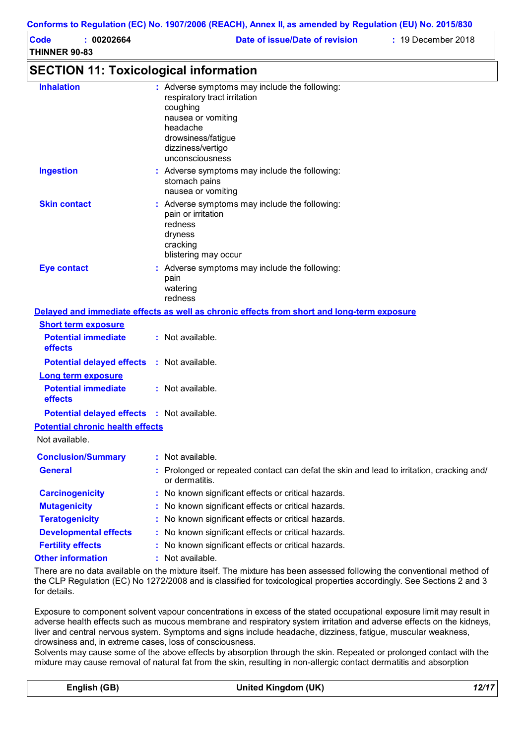|                                                                     | Conforms to Regulation (EC) No. 1907/2006 (REACH), Annex II, as amended by Regulation (EU) No. 2015/830                                                                                   |
|---------------------------------------------------------------------|-------------------------------------------------------------------------------------------------------------------------------------------------------------------------------------------|
| : 00202664<br><b>Code</b><br><b>THINNER 90-83</b>                   | Date of issue/Date of revision<br>: 19 December 2018                                                                                                                                      |
| <b>SECTION 11: Toxicological information</b>                        |                                                                                                                                                                                           |
| <b>Inhalation</b>                                                   | : Adverse symptoms may include the following:<br>respiratory tract irritation<br>coughing<br>nausea or vomiting<br>headache<br>drowsiness/fatigue<br>dizziness/vertigo<br>unconsciousness |
| <b>Ingestion</b>                                                    | : Adverse symptoms may include the following:<br>stomach pains<br>nausea or vomiting                                                                                                      |
| <b>Skin contact</b>                                                 | : Adverse symptoms may include the following:<br>pain or irritation<br>redness<br>dryness<br>cracking<br>blistering may occur                                                             |
| <b>Eye contact</b>                                                  | : Adverse symptoms may include the following:<br>pain<br>watering<br>redness                                                                                                              |
|                                                                     | Delayed and immediate effects as well as chronic effects from short and long-term exposure                                                                                                |
| <b>Short term exposure</b><br><b>Potential immediate</b><br>effects | : Not available.                                                                                                                                                                          |
| <b>Potential delayed effects : Not available.</b>                   |                                                                                                                                                                                           |
| <b>Long term exposure</b><br><b>Potential immediate</b><br>effects  | : Not available.                                                                                                                                                                          |
| <b>Potential delayed effects : Not available.</b>                   |                                                                                                                                                                                           |
| <b>Potential chronic health effects</b>                             |                                                                                                                                                                                           |
| Not available.                                                      |                                                                                                                                                                                           |
| <b>Conclusion/Summary</b>                                           | : Not available.                                                                                                                                                                          |
| <b>General</b>                                                      | Prolonged or repeated contact can defat the skin and lead to irritation, cracking and/<br>or dermatitis.                                                                                  |
| <b>Carcinogenicity</b>                                              | No known significant effects or critical hazards.                                                                                                                                         |
| <b>Mutagenicity</b>                                                 | No known significant effects or critical hazards.                                                                                                                                         |
| <b>Teratogenicity</b>                                               | No known significant effects or critical hazards.                                                                                                                                         |
| <b>Developmental effects</b>                                        | No known significant effects or critical hazards.                                                                                                                                         |
| <b>Fertility effects</b>                                            | No known significant effects or critical hazards.                                                                                                                                         |
| <b>Other information</b>                                            | Not available.                                                                                                                                                                            |

There are no data available on the mixture itself. The mixture has been assessed following the conventional method of the CLP Regulation (EC) No 1272/2008 and is classified for toxicological properties accordingly. See Sections 2 and 3 for details.

Exposure to component solvent vapour concentrations in excess of the stated occupational exposure limit may result in adverse health effects such as mucous membrane and respiratory system irritation and adverse effects on the kidneys, liver and central nervous system. Symptoms and signs include headache, dizziness, fatigue, muscular weakness, drowsiness and, in extreme cases, loss of consciousness.

Solvents may cause some of the above effects by absorption through the skin. Repeated or prolonged contact with the mixture may cause removal of natural fat from the skin, resulting in non-allergic contact dermatitis and absorption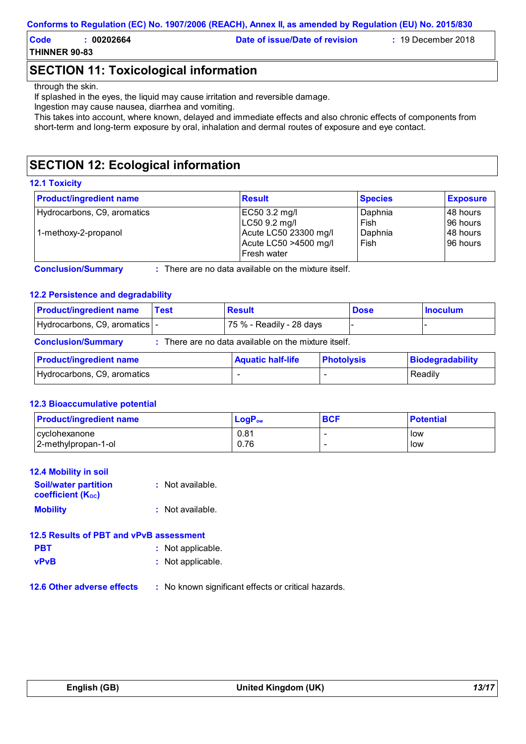| Code                 | 00202664 | Date of issue/Date of revision | $: 19$ December 2018 |
|----------------------|----------|--------------------------------|----------------------|
| <b>THINNER 90-83</b> |          |                                |                      |

# **SECTION 11: Toxicological information**

#### through the skin.

If splashed in the eyes, the liquid may cause irritation and reversible damage.

Ingestion may cause nausea, diarrhea and vomiting.

This takes into account, where known, delayed and immediate effects and also chronic effects of components from short-term and long-term exposure by oral, inhalation and dermal routes of exposure and eye contact.

# **SECTION 12: Ecological information**

#### **12.1 Toxicity**

| <b>Product/ingredient name</b> | <b>Result</b>                                                   | <b>Species</b>  | <b>Exposure</b>       |
|--------------------------------|-----------------------------------------------------------------|-----------------|-----------------------|
| Hydrocarbons, C9, aromatics    | EC50 3.2 mg/l<br>LC50 9.2 mg/l                                  | Daphnia<br>Fish | 48 hours<br>196 hours |
| 1-methoxy-2-propanol           | Acute LC50 23300 mg/l<br>Acute LC50 >4500 mg/l<br>l Fresh water | Daphnia<br>Fish | 48 hours<br>196 hours |

**Conclusion/Summary :** : There are no data available on the mixture itself.

## **12.2 Persistence and degradability**

| <b>Product/ingredient name</b>                                                                             | <b>Test</b> | <b>Result</b>            |  | <b>Dose</b> | <b>Inoculum</b> |
|------------------------------------------------------------------------------------------------------------|-------------|--------------------------|--|-------------|-----------------|
| Hydrocarbons, C9, aromatics  -                                                                             |             | 75 % - Readily - 28 days |  |             |                 |
| <b>Conclusion/Summary</b><br>: There are no data available on the mixture itself.                          |             |                          |  |             |                 |
| <b>Product/ingredient name</b><br><b>Biodegradability</b><br><b>Aquatic half-life</b><br><b>Photolysis</b> |             |                          |  |             |                 |
| Hydrocarbons, C9, aromatics                                                                                |             |                          |  |             | Readily         |

#### **12.3 Bioaccumulative potential**

| <b>Product/ingredient name</b> | $LogP_{ow}$ | <b>BCF</b> | <b>Potential</b> |
|--------------------------------|-------------|------------|------------------|
| cyclohexanone                  | 0.81        | -          | low              |
| 2-methylpropan-1-ol            | 0.76        |            | low              |

| <b>12.4 Mobility in soil</b>                            |                   |
|---------------------------------------------------------|-------------------|
| <b>Soil/water partition</b><br><b>coefficient (Koc)</b> | : Not available.  |
| <b>Mobility</b>                                         | : Not available.  |
| 12.5 Results of PBT and vPvB assessment                 |                   |
| <b>PBT</b>                                              | : Not applicable. |
| <b>vPvB</b>                                             | : Not applicable. |
|                                                         |                   |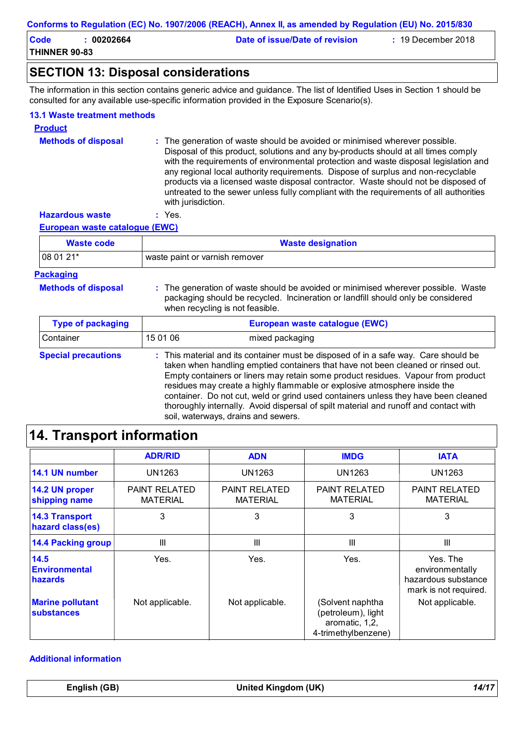| Code                 | 00202664 | Date of issue/Date of revision | $: 19$ December 2018 |
|----------------------|----------|--------------------------------|----------------------|
| <b>THINNER 90-83</b> |          |                                |                      |

## **SECTION 13: Disposal considerations**

The information in this section contains generic advice and guidance. The list of Identified Uses in Section 1 should be consulted for any available use-specific information provided in the Exposure Scenario(s).

#### **13.1 Waste treatment methods**

| <b>Product</b>             |                                                                                                                                                                                                                                                                                                                                                                                                                                                                                                                                                     |
|----------------------------|-----------------------------------------------------------------------------------------------------------------------------------------------------------------------------------------------------------------------------------------------------------------------------------------------------------------------------------------------------------------------------------------------------------------------------------------------------------------------------------------------------------------------------------------------------|
| <b>Methods of disposal</b> | : The generation of waste should be avoided or minimised wherever possible.<br>Disposal of this product, solutions and any by-products should at all times comply<br>with the requirements of environmental protection and waste disposal legislation and<br>any regional local authority requirements. Dispose of surplus and non-recyclable<br>products via a licensed waste disposal contractor. Waste should not be disposed of<br>untreated to the sewer unless fully compliant with the requirements of all authorities<br>with jurisdiction. |
| <b>Hazardous waste</b>     | $\cdot$ Yes.                                                                                                                                                                                                                                                                                                                                                                                                                                                                                                                                        |

**European waste catalogue (EWC)**

| <b>Waste code</b> | <b>Waste designation</b>       |  |
|-------------------|--------------------------------|--|
| $ 080121*$        | waste paint or varnish remover |  |

#### **Packaging**

| <b>Methods of dispos</b> |  |
|--------------------------|--|
|--------------------------|--|

**Methods of disposal : The generation of waste should be avoided or minimised wherever possible. Waste** packaging should be recycled. Incineration or landfill should only be considered when recycling is not feasible.

| <b>Type of packaging</b>   | European waste catalogue (EWC) |                                                                                                                                                                                                                                                                                                                                                                                                                                                                                                                                                               |  |
|----------------------------|--------------------------------|---------------------------------------------------------------------------------------------------------------------------------------------------------------------------------------------------------------------------------------------------------------------------------------------------------------------------------------------------------------------------------------------------------------------------------------------------------------------------------------------------------------------------------------------------------------|--|
| Container                  | 15 01 06                       | mixed packaging                                                                                                                                                                                                                                                                                                                                                                                                                                                                                                                                               |  |
| <b>Special precautions</b> |                                | : This material and its container must be disposed of in a safe way. Care should be<br>taken when handling emptied containers that have not been cleaned or rinsed out.<br>Empty containers or liners may retain some product residues. Vapour from product<br>residues may create a highly flammable or explosive atmosphere inside the<br>container. Do not cut, weld or grind used containers unless they have been cleaned<br>thoroughly internally. Avoid dispersal of spilt material and runoff and contact with<br>soil, waterways, drains and sewers. |  |

# **14. Transport information**

|                                           | <b>ADR/RID</b>                          | <b>ADN</b>                              | <b>IMDG</b>                                                                     | <b>IATA</b>                                                                 |
|-------------------------------------------|-----------------------------------------|-----------------------------------------|---------------------------------------------------------------------------------|-----------------------------------------------------------------------------|
| 14.1 UN number                            | <b>UN1263</b>                           | UN1263                                  | <b>UN1263</b>                                                                   | <b>UN1263</b>                                                               |
| 14.2 UN proper<br>shipping name           | <b>PAINT RELATED</b><br><b>MATERIAL</b> | <b>PAINT RELATED</b><br><b>MATERIAL</b> | <b>PAINT RELATED</b><br><b>MATERIAL</b>                                         | <b>PAINT RELATED</b><br><b>MATERIAL</b>                                     |
| <b>14.3 Transport</b><br>hazard class(es) | 3                                       | 3                                       | 3                                                                               | 3                                                                           |
| <b>14.4 Packing group</b>                 | $\mathbf{III}$                          | $\mathbf{III}$                          | Ш                                                                               | Ш                                                                           |
| 14.5<br><b>Environmental</b><br>hazards   | Yes.                                    | Yes.                                    | Yes.                                                                            | Yes. The<br>environmentally<br>hazardous substance<br>mark is not required. |
| <b>Marine pollutant</b><br>substances     | Not applicable.                         | Not applicable.                         | (Solvent naphtha<br>(petroleum), light<br>aromatic, 1,2,<br>4-trimethylbenzene) | Not applicable.                                                             |

#### **Additional information**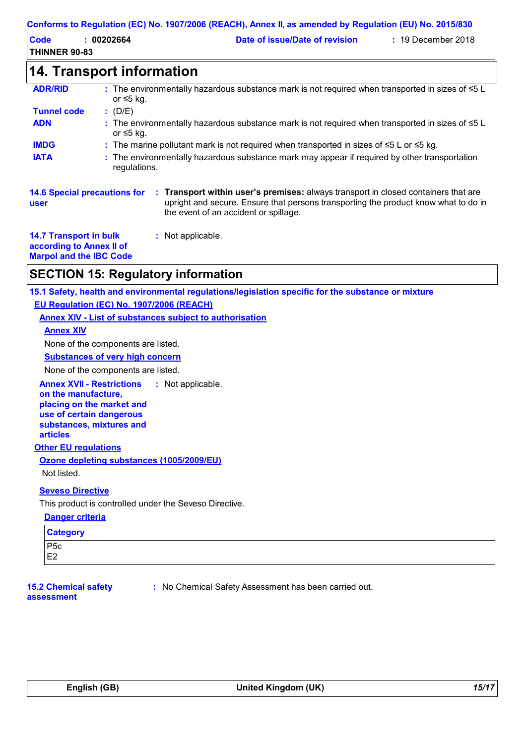| CUMUMIS IO REGUIALION (EC) NO. 1907/2000 (REACH), ANNEX II, AS AMENICU DY REGUIALION (EU) NO. 2019/030 |                                  |                                                                                                        |                      |
|--------------------------------------------------------------------------------------------------------|----------------------------------|--------------------------------------------------------------------------------------------------------|----------------------|
| <b>Code</b><br>THINNER 90-83                                                                           | : 00202664                       | Date of issue/Date of revision                                                                         | $: 19$ December 2018 |
|                                                                                                        | <b>14. Transport information</b> |                                                                                                        |                      |
| <b>ADR/RID</b>                                                                                         | or $\leq 5$ kg.                  | : The environmentally hazardous substance mark is not required when transported in sizes of $\leq 5$ L |                      |
| <b>Tunnel code</b>                                                                                     | : (D/E)                          |                                                                                                        |                      |
| <b>ADN</b>                                                                                             | or ≤5 kg.                        | : The environmentally hazardous substance mark is not required when transported in sizes of $\leq 5$ L |                      |
| <b>IMDG</b>                                                                                            |                                  | : The marine pollutant mark is not required when transported in sizes of $\leq 5$ L or $\leq 5$ kg.    |                      |
| <b>IATA</b>                                                                                            |                                  | . The environmentally hazardous substance mark may annear if required by other transportation          |                      |

**IATA :** The environmentally hazardous substance mark may appear if required by other transportation regulations.

| <b>14.6 Special precautions for</b> |  |
|-------------------------------------|--|
| user                                |  |
|                                     |  |

**Transport within user's premises:** always transport in closed containers that are **:** upright and secure. Ensure that persons transporting the product know what to do in the event of an accident or spillage.

**14.7 Transport in bulk according to Annex II of Marpol and the IBC Code**

## **SECTION 15: Regulatory information**

**15.1 Safety, health and environmental regulations/legislation specific for the substance or mixture EU Regulation (EC) No. 1907/2006 (REACH)**

**Annex XIV - List of substances subject to authorisation**

**:** Not applicable.

#### **Annex XIV**

None of the components are listed.

**Substances of very high concern**

None of the components are listed.

**Annex XVII - Restrictions** : Not applicable.

**on the manufacture, placing on the market and use of certain dangerous substances, mixtures and articles**

## **Other EU regulations**

**Ozone depleting substances (1005/2009/EU)** Not listed.

## **Seveso Directive**

This product is controlled under the Seveso Directive.

#### **Danger criteria**

| <b>Category</b> |  |
|-----------------|--|
| $P5c$<br>E2     |  |
|                 |  |

#### **15.2 Chemical safety assessment**

**:** No Chemical Safety Assessment has been carried out.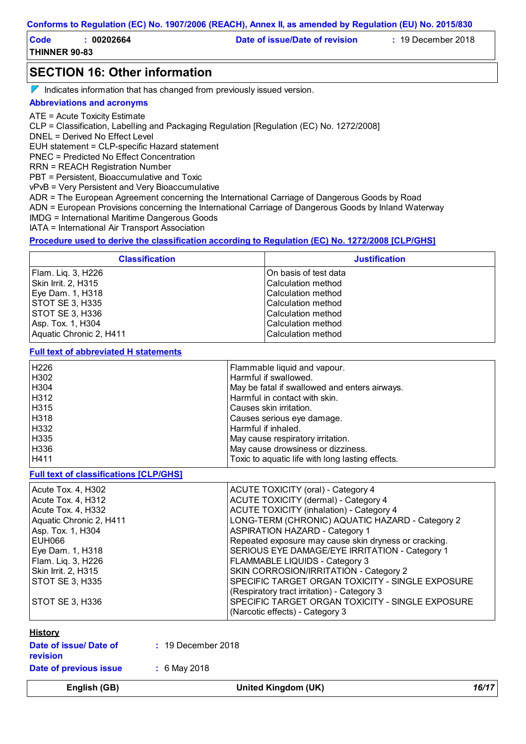| Code                 | 00202664 | Date of issue/Date of revision | $: 19$ December 2018 |
|----------------------|----------|--------------------------------|----------------------|
| <b>THINNER 90-83</b> |          |                                |                      |

## **SECTION 16: Other information**

 $\nabla$  Indicates information that has changed from previously issued version.

#### **Abbreviations and acronyms**

ATE = Acute Toxicity Estimate

CLP = Classification, Labelling and Packaging Regulation [Regulation (EC) No. 1272/2008]

DNEL = Derived No Effect Level

EUH statement = CLP-specific Hazard statement

PNEC = Predicted No Effect Concentration

RRN = REACH Registration Number

PBT = Persistent, Bioaccumulative and Toxic

vPvB = Very Persistent and Very Bioaccumulative

ADR = The European Agreement concerning the International Carriage of Dangerous Goods by Road

ADN = European Provisions concerning the International Carriage of Dangerous Goods by Inland Waterway

IMDG = International Maritime Dangerous Goods

IATA = International Air Transport Association

#### **Procedure used to derive the classification according to Regulation (EC) No. 1272/2008 [CLP/GHS]**

| <b>Classification</b>   | <b>Justification</b>      |
|-------------------------|---------------------------|
| Flam. Liq. 3, H226      | IOn basis of test data    |
| Skin Irrit. 2, H315     | <b>Calculation method</b> |
| Eye Dam. 1, H318        | ICalculation method       |
| <b>STOT SE 3, H335</b>  | ICalculation method       |
| <b>STOT SE 3, H336</b>  | ICalculation method       |
| Asp. Tox. 1, H304       | <b>Calculation method</b> |
| Aquatic Chronic 2, H411 | Calculation method        |

#### **Full text of abbreviated H statements**

| H226 | Flammable liquid and vapour.                     |
|------|--------------------------------------------------|
| H302 | Harmful if swallowed.                            |
| H304 | May be fatal if swallowed and enters airways.    |
| H312 | Harmful in contact with skin.                    |
| H315 | Causes skin irritation.                          |
| H318 | Causes serious eye damage.                       |
| H332 | Harmful if inhaled.                              |
| H335 | May cause respiratory irritation.                |
| H336 | May cause drowsiness or dizziness.               |
| H411 | Toxic to aquatic life with long lasting effects. |
|      |                                                  |

**Full text of classifications [CLP/GHS]**

| Acute Tox. 4, H302      | ACUTE TOXICITY (oral) - Category 4                    |
|-------------------------|-------------------------------------------------------|
| Acute Tox. 4, H312      | <b>ACUTE TOXICITY (dermal) - Category 4</b>           |
| Acute Tox. 4, H332      | <b>ACUTE TOXICITY (inhalation) - Category 4</b>       |
| Aquatic Chronic 2, H411 | LONG-TERM (CHRONIC) AQUATIC HAZARD - Category 2       |
| Asp. Tox. 1, H304       | <b>ASPIRATION HAZARD - Category 1</b>                 |
| EUH066                  | Repeated exposure may cause skin dryness or cracking. |
| Eye Dam. 1, H318        | SERIOUS EYE DAMAGE/EYE IRRITATION - Category 1        |
| Flam. Liq. 3, H226      | FLAMMABLE LIQUIDS - Category 3                        |
| Skin Irrit. 2, H315     | SKIN CORROSION/IRRITATION - Category 2                |
| STOT SE 3, H335         | SPECIFIC TARGET ORGAN TOXICITY - SINGLE EXPOSURE      |
|                         | (Respiratory tract irritation) - Category 3           |
| STOT SE 3, H336         | SPECIFIC TARGET ORGAN TOXICITY - SINGLE EXPOSURE      |
|                         | (Narcotic effects) - Category 3                       |
|                         |                                                       |

#### **History**

**revision**

**:** 19 December 2018

**Date of previous issue**

**Date of issue/ Date of** 

**:** 6 May 2018